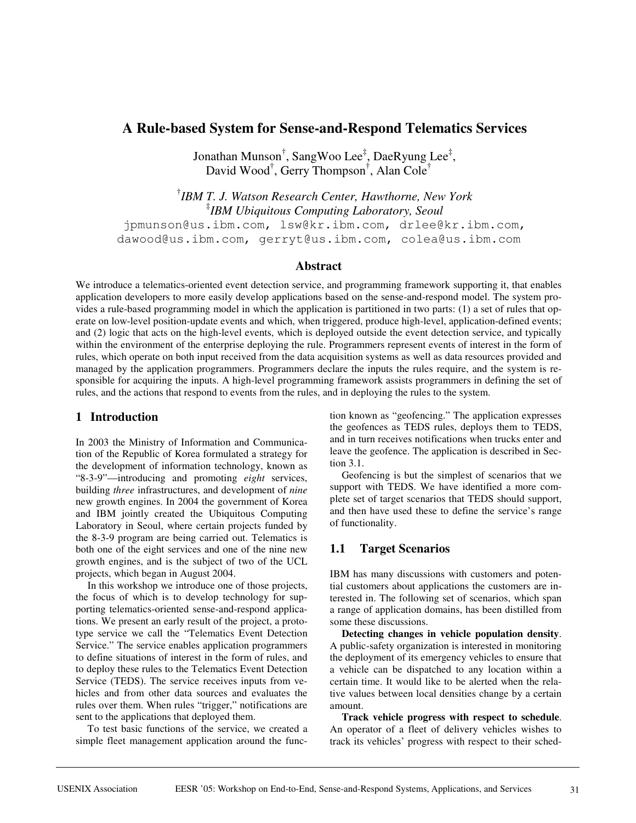# **A Rule-based System for Sense-and-Respond Telematics Services**

Jonathan Munson<sup>†</sup>, SangWoo Lee<sup>‡</sup>, DaeRyung Lee<sup>‡</sup>, David Wood† , Gerry Thompson† , Alan Cole†

† *IBM T. J. Watson Research Center, Hawthorne, New York* ‡ *IBM Ubiquitous Computing Laboratory, Seoul* jpmunson@us.ibm.com, lsw@kr.ibm.com, drlee@kr.ibm.com, dawood@us.ibm.com, gerryt@us.ibm.com, colea@us.ibm.com

#### **Abstract**

We introduce a telematics-oriented event detection service, and programming framework supporting it, that enables application developers to more easily develop applications based on the sense-and-respond model. The system provides a rule-based programming model in which the application is partitioned in two parts: (1) a set of rules that operate on low-level position-update events and which, when triggered, produce high-level, application-defined events; and (2) logic that acts on the high-level events, which is deployed outside the event detection service, and typically within the environment of the enterprise deploying the rule. Programmers represent events of interest in the form of rules, which operate on both input received from the data acquisition systems as well as data resources provided and managed by the application programmers. Programmers declare the inputs the rules require, and the system is responsible for acquiring the inputs. A high-level programming framework assists programmers in defining the set of rules, and the actions that respond to events from the rules, and in deploying the rules to the system.

### **1 Introduction**

In 2003 the Ministry of Information and Communication of the Republic of Korea formulated a strategy for the development of information technology, known as "8-3-9"—introducing and promoting *eight* services, building *three* infrastructures, and development of *nine* new growth engines. In 2004 the government of Korea and IBM jointly created the Ubiquitous Computing Laboratory in Seoul, where certain projects funded by the 8-3-9 program are being carried out. Telematics is both one of the eight services and one of the nine new growth engines, and is the subject of two of the UCL projects, which began in August 2004.

In this workshop we introduce one of those projects, the focus of which is to develop technology for supporting telematics-oriented sense-and-respond applications. We present an early result of the project, a prototype service we call the "Telematics Event Detection Service." The service enables application programmers to define situations of interest in the form of rules, and to deploy these rules to the Telematics Event Detection Service (TEDS). The service receives inputs from vehicles and from other data sources and evaluates the rules over them. When rules "trigger," notifications are sent to the applications that deployed them.

To test basic functions of the service, we created a simple fleet management application around the func-

tion known as "geofencing." The application expresses the geofences as TEDS rules, deploys them to TEDS, and in turn receives notifications when trucks enter and leave the geofence. The application is described in Section 3.1.

Geofencing is but the simplest of scenarios that we support with TEDS. We have identified a more complete set of target scenarios that TEDS should support, and then have used these to define the service's range of functionality.

# **1.1 Target Scenarios**

IBM has many discussions with customers and potential customers about applications the customers are interested in. The following set of scenarios, which span a range of application domains, has been distilled from some these discussions.

**Detecting changes in vehicle population density**. A public-safety organization is interested in monitoring the deployment of its emergency vehicles to ensure that a vehicle can be dispatched to any location within a certain time. It would like to be alerted when the relative values between local densities change by a certain amount.

**Track vehicle progress with respect to schedule**. An operator of a fleet of delivery vehicles wishes to track its vehicles' progress with respect to their sched-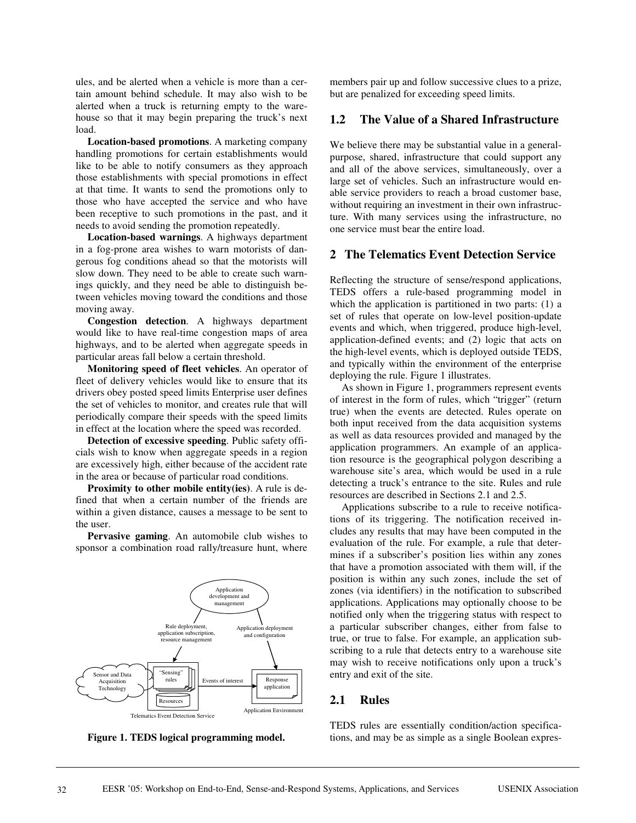ules, and be alerted when a vehicle is more than a certain amount behind schedule. It may also wish to be alerted when a truck is returning empty to the warehouse so that it may begin preparing the truck's next load.

**Location-based promotions**. A marketing company handling promotions for certain establishments would like to be able to notify consumers as they approach those establishments with special promotions in effect at that time. It wants to send the promotions only to those who have accepted the service and who have been receptive to such promotions in the past, and it needs to avoid sending the promotion repeatedly.

**Location-based warnings**. A highways department in a fog-prone area wishes to warn motorists of dangerous fog conditions ahead so that the motorists will slow down. They need to be able to create such warnings quickly, and they need be able to distinguish between vehicles moving toward the conditions and those moving away.

**Congestion detection**. A highways department would like to have real-time congestion maps of area highways, and to be alerted when aggregate speeds in particular areas fall below a certain threshold.

**Monitoring speed of fleet vehicles**. An operator of fleet of delivery vehicles would like to ensure that its drivers obey posted speed limits Enterprise user defines the set of vehicles to monitor, and creates rule that will periodically compare their speeds with the speed limits in effect at the location where the speed was recorded.

**Detection of excessive speeding**. Public safety officials wish to know when aggregate speeds in a region are excessively high, either because of the accident rate in the area or because of particular road conditions.

**Proximity to other mobile entity(ies)**. A rule is defined that when a certain number of the friends are within a given distance, causes a message to be sent to the user.

**Pervasive gaming**. An automobile club wishes to sponsor a combination road rally/treasure hunt, where





members pair up and follow successive clues to a prize, but are penalized for exceeding speed limits.

#### **1.2 The Value of a Shared Infrastructure**

We believe there may be substantial value in a generalpurpose, shared, infrastructure that could support any and all of the above services, simultaneously, over a large set of vehicles. Such an infrastructure would enable service providers to reach a broad customer base, without requiring an investment in their own infrastructure. With many services using the infrastructure, no one service must bear the entire load.

#### **2 The Telematics Event Detection Service**

Reflecting the structure of sense/respond applications, TEDS offers a rule-based programming model in which the application is partitioned in two parts: (1) a set of rules that operate on low-level position-update events and which, when triggered, produce high-level, application-defined events; and (2) logic that acts on the high-level events, which is deployed outside TEDS, and typically within the environment of the enterprise deploying the rule. Figure 1 illustrates.

As shown in Figure 1, programmers represent events of interest in the form of rules, which "trigger" (return true) when the events are detected. Rules operate on both input received from the data acquisition systems as well as data resources provided and managed by the application programmers. An example of an application resource is the geographical polygon describing a warehouse site's area, which would be used in a rule detecting a truck's entrance to the site. Rules and rule resources are described in Sections 2.1 and 2.5.

Applications subscribe to a rule to receive notifications of its triggering. The notification received includes any results that may have been computed in the evaluation of the rule. For example, a rule that determines if a subscriber's position lies within any zones that have a promotion associated with them will, if the position is within any such zones, include the set of zones (via identifiers) in the notification to subscribed applications. Applications may optionally choose to be notified only when the triggering status with respect to a particular subscriber changes, either from false to true, or true to false. For example, an application subscribing to a rule that detects entry to a warehouse site may wish to receive notifications only upon a truck's entry and exit of the site.

#### **2.1 Rules**

TEDS rules are essentially condition/action specifications, and may be as simple as a single Boolean expres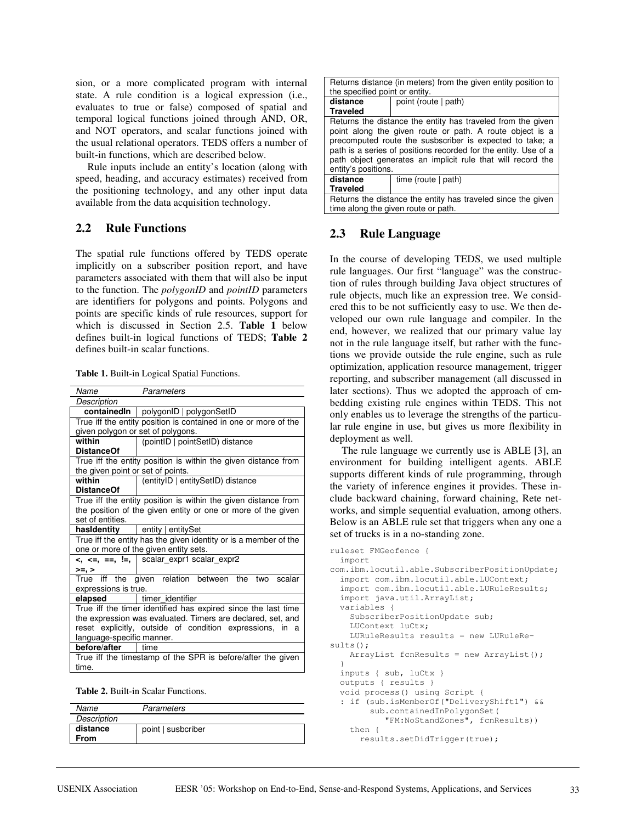sion, or a more complicated program with internal state. A rule condition is a logical expression (i.e., evaluates to true or false) composed of spatial and temporal logical functions joined through AND, OR, and NOT operators, and scalar functions joined with the usual relational operators. TEDS offers a number of built-in functions, which are described below.

Rule inputs include an entity's location (along with speed, heading, and accuracy estimates) received from the positioning technology, and any other input data available from the data acquisition technology.

#### **2.2 Rule Functions**

The spatial rule functions offered by TEDS operate implicitly on a subscriber position report, and have parameters associated with them that will also be input to the function. The *polygonID* and *pointID* parameters are identifiers for polygons and points. Polygons and points are specific kinds of rule resources, support for which is discussed in Section 2.5. **Table 1** below defines built-in logical functions of TEDS; **Table 2** defines built-in scalar functions.

| <b>Table 1. Built-in Logical Spatial Functions.</b> |  |  |  |
|-----------------------------------------------------|--|--|--|
|-----------------------------------------------------|--|--|--|

| Name                                                             | Parameters                                                   |  |
|------------------------------------------------------------------|--------------------------------------------------------------|--|
| Description                                                      |                                                              |  |
|                                                                  | containedIn   polygonID   polygonSetID                       |  |
| True iff the entity position is contained in one or more of the  |                                                              |  |
| given polygon or set of polygons.                                |                                                              |  |
| within                                                           | (pointID   pointSetID) distance                              |  |
| <b>DistanceOf</b>                                                |                                                              |  |
| True iff the entity position is within the given distance from   |                                                              |  |
| the given point or set of points.                                |                                                              |  |
| within                                                           | (entityID   entitySetID) distance                            |  |
| <b>DistanceOf</b>                                                |                                                              |  |
| True iff the entity position is within the given distance from   |                                                              |  |
|                                                                  | the position of the given entity or one or more of the given |  |
| set of entities.                                                 |                                                              |  |
| hasidentity                                                      | entity   entitySet                                           |  |
| True iff the entity has the given identity or is a member of the |                                                              |  |
| one or more of the given entity sets.                            |                                                              |  |
|                                                                  | <, <=, ==, !=,   scalar expr1 scalar expr2                   |  |
| >=, >                                                            |                                                              |  |
| True iff the                                                     | given relation between the two scalar                        |  |
| expressions is true.                                             |                                                              |  |
| elapsed                                                          | timer identifier                                             |  |
| True iff the timer identified has expired since the last time    |                                                              |  |
| the expression was evaluated. Timers are declared, set, and      |                                                              |  |
| reset explicitly, outside of condition expressions, in a         |                                                              |  |
| language-specific manner.                                        |                                                              |  |
| before/after<br>time                                             |                                                              |  |
| True iff the timestamp of the SPR is before/after the given      |                                                              |  |
| time.                                                            |                                                              |  |

**Table 2.** Built-in Scalar Functions.

| Name        | Parameters         |
|-------------|--------------------|
| Description |                    |
| distance    | point   susbcriber |
| From        |                    |

| Returns distance (in meters) from the given entity position to<br>the specified point or entity.                                                                                                                                                                                                                                             |                       |  |
|----------------------------------------------------------------------------------------------------------------------------------------------------------------------------------------------------------------------------------------------------------------------------------------------------------------------------------------------|-----------------------|--|
|                                                                                                                                                                                                                                                                                                                                              |                       |  |
| distance                                                                                                                                                                                                                                                                                                                                     | point (route   path)  |  |
| <b>Traveled</b>                                                                                                                                                                                                                                                                                                                              |                       |  |
| Returns the distance the entity has traveled from the given<br>point along the given route or path. A route object is a<br>precomputed route the susbscriber is expected to take; a<br>path is a series of positions recorded for the entity. Use of a<br>path object generates an implicit rule that will record the<br>entity's positions. |                       |  |
| distance                                                                                                                                                                                                                                                                                                                                     | time (route $ $ path) |  |
| Traveled                                                                                                                                                                                                                                                                                                                                     |                       |  |
| Returns the distance the entity has traveled since the given                                                                                                                                                                                                                                                                                 |                       |  |
| time along the given route or path.                                                                                                                                                                                                                                                                                                          |                       |  |

#### **2.3 Rule Language**

In the course of developing TEDS, we used multiple rule languages. Our first "language" was the construction of rules through building Java object structures of rule objects, much like an expression tree. We considered this to be not sufficiently easy to use. We then developed our own rule language and compiler. In the end, however, we realized that our primary value lay not in the rule language itself, but rather with the functions we provide outside the rule engine, such as rule optimization, application resource management, trigger reporting, and subscriber management (all discussed in later sections). Thus we adopted the approach of embedding existing rule engines within TEDS. This not only enables us to leverage the strengths of the particular rule engine in use, but gives us more flexibility in deployment as well.

The rule language we currently use is ABLE [3], an environment for building intelligent agents. ABLE supports different kinds of rule programming, through the variety of inference engines it provides. These include backward chaining, forward chaining, Rete networks, and simple sequential evaluation, among others. Below is an ABLE rule set that triggers when any one a set of trucks is in a no-standing zone.

```
ruleset FMGeofence {
 import
com.ibm.locutil.able.SubscriberPositionUpdate;
 import com.ibm.locutil.able.LUContext;
 import com.ibm.locutil.able.LURuleResults;
  import java.util.ArrayList;
 variables {
    SubscriberPositionUpdate sub;
    LUContext luCtx;
    LURuleResults results = new LURuleRe-
sults();
   ArrayList fcnResults = new ArrayList();
  }
 inputs { sub, luCtx }
 outputs { results }
 void process() using Script {
  : if (sub.isMemberOf("DeliveryShift1") &&
       sub.containedInPolygonSet(
           "FM:NoStandZones", fcnResults))
    then {
      results.setDidTrigger(true);
```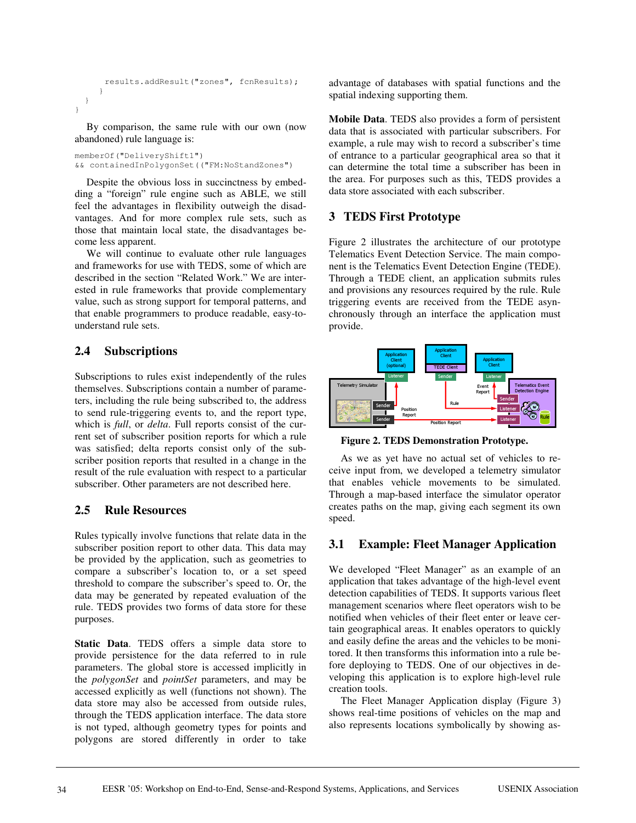```
results.addResult("zones", fcnResults);
     }
 }
}
```
By comparison, the same rule with our own (now abandoned) rule language is:

memberOf("DeliveryShift1") && containedInPolygonSet(("FM:NoStandZones")

Despite the obvious loss in succinctness by embedding a "foreign" rule engine such as ABLE, we still feel the advantages in flexibility outweigh the disadvantages. And for more complex rule sets, such as those that maintain local state, the disadvantages become less apparent.

We will continue to evaluate other rule languages and frameworks for use with TEDS, some of which are described in the section "Related Work." We are interested in rule frameworks that provide complementary value, such as strong support for temporal patterns, and that enable programmers to produce readable, easy-tounderstand rule sets.

# **2.4 Subscriptions**

Subscriptions to rules exist independently of the rules themselves. Subscriptions contain a number of parameters, including the rule being subscribed to, the address to send rule-triggering events to, and the report type, which is *full*, or *delta*. Full reports consist of the current set of subscriber position reports for which a rule was satisfied; delta reports consist only of the subscriber position reports that resulted in a change in the result of the rule evaluation with respect to a particular subscriber. Other parameters are not described here.

### **2.5 Rule Resources**

Rules typically involve functions that relate data in the subscriber position report to other data. This data may be provided by the application, such as geometries to compare a subscriber's location to, or a set speed threshold to compare the subscriber's speed to. Or, the data may be generated by repeated evaluation of the rule. TEDS provides two forms of data store for these purposes.

**Static Data**. TEDS offers a simple data store to provide persistence for the data referred to in rule parameters. The global store is accessed implicitly in the *polygonSet* and *pointSet* parameters, and may be accessed explicitly as well (functions not shown). The data store may also be accessed from outside rules, through the TEDS application interface. The data store is not typed, although geometry types for points and polygons are stored differently in order to take

advantage of databases with spatial functions and the spatial indexing supporting them.

**Mobile Data**. TEDS also provides a form of persistent data that is associated with particular subscribers. For example, a rule may wish to record a subscriber's time of entrance to a particular geographical area so that it can determine the total time a subscriber has been in the area. For purposes such as this, TEDS provides a data store associated with each subscriber.

## **3 TEDS First Prototype**

Figure 2 illustrates the architecture of our prototype Telematics Event Detection Service. The main component is the Telematics Event Detection Engine (TEDE). Through a TEDE client, an application submits rules and provisions any resources required by the rule. Rule triggering events are received from the TEDE asynchronously through an interface the application must provide.



**Figure 2. TEDS Demonstration Prototype.**

As we as yet have no actual set of vehicles to receive input from, we developed a telemetry simulator that enables vehicle movements to be simulated. Through a map-based interface the simulator operator creates paths on the map, giving each segment its own speed.

# **3.1 Example: Fleet Manager Application**

We developed "Fleet Manager" as an example of an application that takes advantage of the high-level event detection capabilities of TEDS. It supports various fleet management scenarios where fleet operators wish to be notified when vehicles of their fleet enter or leave certain geographical areas. It enables operators to quickly and easily define the areas and the vehicles to be monitored. It then transforms this information into a rule before deploying to TEDS. One of our objectives in developing this application is to explore high-level rule creation tools.

The Fleet Manager Application display (Figure 3) shows real-time positions of vehicles on the map and also represents locations symbolically by showing as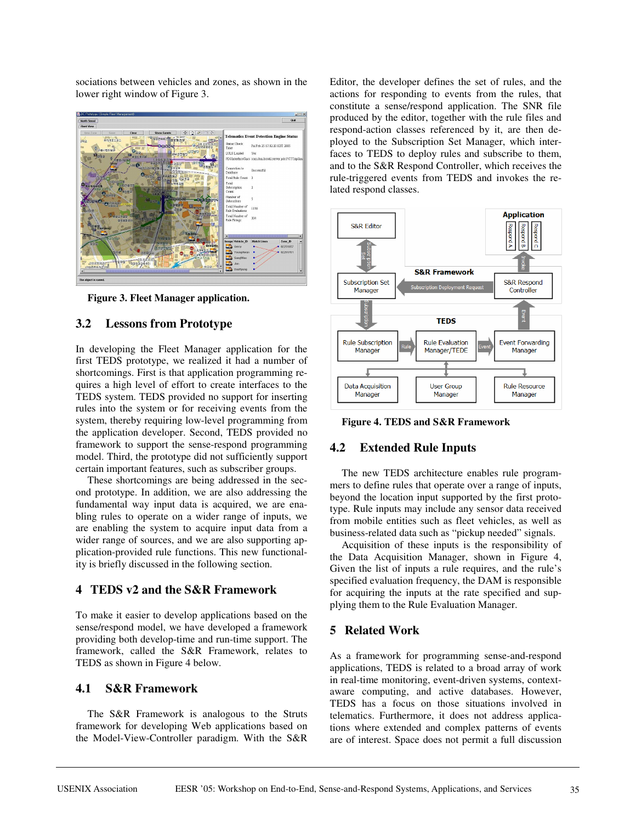sociations between vehicles and zones, as shown in the lower right window of Figure 3.



**Figure 3. Fleet Manager application.**

## **3.2 Lessons from Prototype**

In developing the Fleet Manager application for the first TEDS prototype, we realized it had a number of shortcomings. First is that application programming requires a high level of effort to create interfaces to the TEDS system. TEDS provided no support for inserting rules into the system or for receiving events from the system, thereby requiring low-level programming from the application developer. Second, TEDS provided no framework to support the sense-respond programming model. Third, the prototype did not sufficiently support certain important features, such as subscriber groups.

These shortcomings are being addressed in the second prototype. In addition, we are also addressing the fundamental way input data is acquired, we are enabling rules to operate on a wider range of inputs, we are enabling the system to acquire input data from a wider range of sources, and we are also supporting application-provided rule functions. This new functionality is briefly discussed in the following section.

### **4 TEDS v2 and the S&R Framework**

To make it easier to develop applications based on the sense/respond model, we have developed a framework providing both develop-time and run-time support. The framework, called the S&R Framework, relates to TEDS as shown in Figure 4 below.

### **4.1 S&R Framework**

The S&R Framework is analogous to the Struts framework for developing Web applications based on the Model-View-Controller paradigm. With the S&R

Editor, the developer defines the set of rules, and the actions for responding to events from the rules, that constitute a sense/respond application. The SNR file produced by the editor, together with the rule files and respond-action classes referenced by it, are then deployed to the Subscription Set Manager, which interfaces to TEDS to deploy rules and subscribe to them, and to the S&R Respond Controller, which receives the rule-triggered events from TEDS and invokes the related respond classes.



**Figure 4. TEDS and S&R Framework**

### **4.2 Extended Rule Inputs**

The new TEDS architecture enables rule programmers to define rules that operate over a range of inputs, beyond the location input supported by the first prototype. Rule inputs may include any sensor data received from mobile entities such as fleet vehicles, as well as business-related data such as "pickup needed" signals.

Acquisition of these inputs is the responsibility of the Data Acquisition Manager, shown in Figure 4, Given the list of inputs a rule requires, and the rule's specified evaluation frequency, the DAM is responsible for acquiring the inputs at the rate specified and supplying them to the Rule Evaluation Manager.

# **5 Related Work**

As a framework for programming sense-and-respond applications, TEDS is related to a broad array of work in real-time monitoring, event-driven systems, contextaware computing, and active databases. However, TEDS has a focus on those situations involved in telematics. Furthermore, it does not address applications where extended and complex patterns of events are of interest. Space does not permit a full discussion